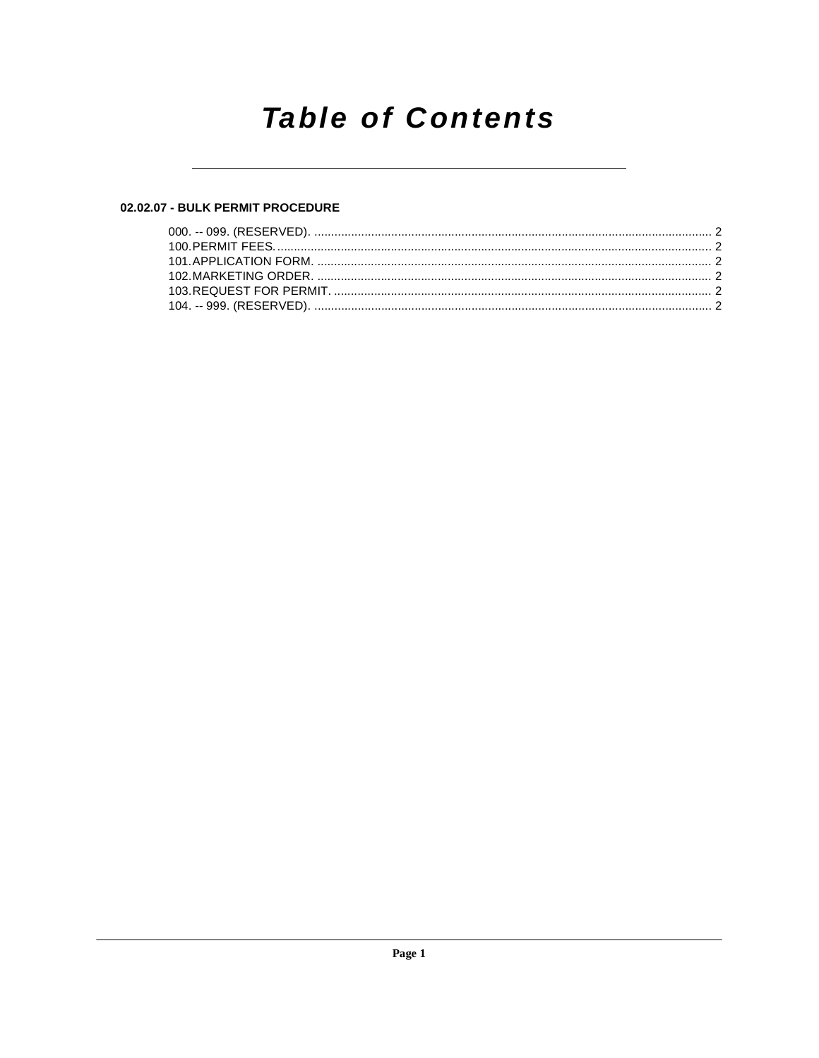## **Table of Contents**

## 02.02.07 - BULK PERMIT PROCEDURE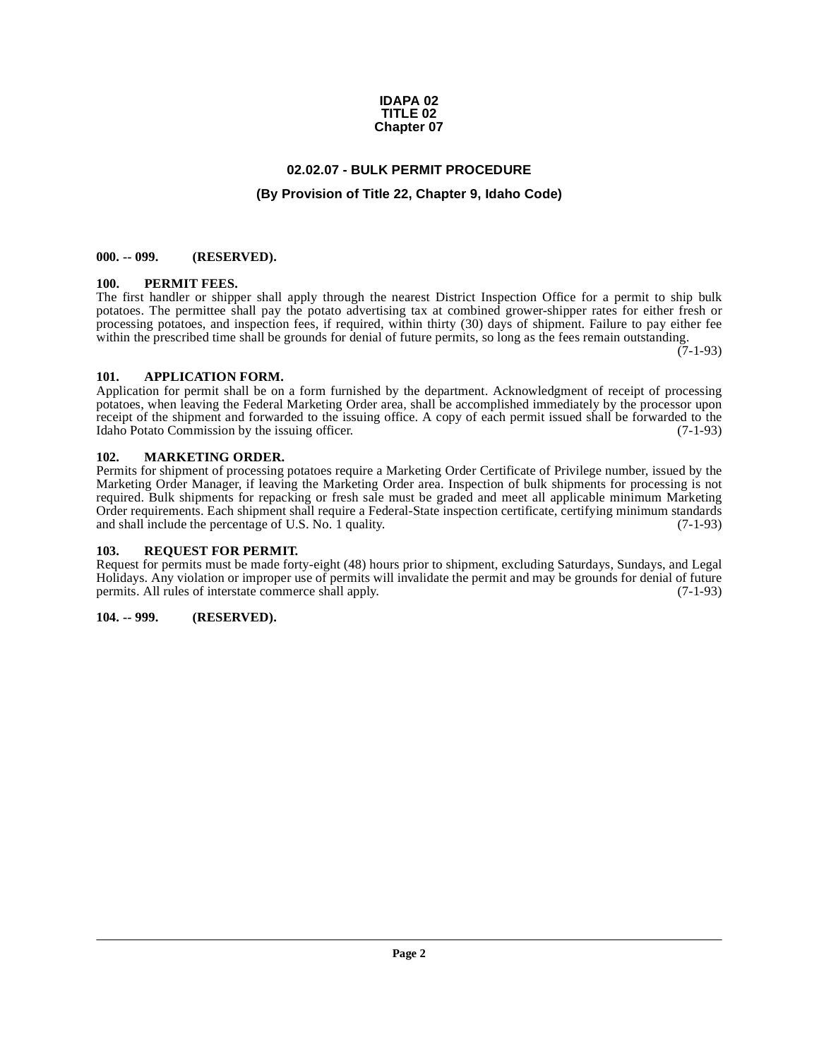#### **IDAPA 02 TITLE 02 Chapter 07**

## **02.02.07 - BULK PERMIT PROCEDURE**

## **(By Provision of Title 22, Chapter 9, Idaho Code)**

#### <span id="page-1-1"></span><span id="page-1-0"></span>**000. -- 099. (RESERVED).**

#### <span id="page-1-9"></span><span id="page-1-2"></span>**100. PERMIT FEES.**

The first handler or shipper shall apply through the nearest District Inspection Office for a permit to ship bulk potatoes. The permittee shall pay the potato advertising tax at combined grower-shipper rates for either fresh or processing potatoes, and inspection fees, if required, within thirty (30) days of shipment. Failure to pay either fee within the prescribed time shall be grounds for denial of future permits, so long as the fees remain outstanding.

 $(7-1-93)$ 

#### <span id="page-1-7"></span><span id="page-1-3"></span>**101. APPLICATION FORM.**

Application for permit shall be on a form furnished by the department. Acknowledgment of receipt of processing potatoes, when leaving the Federal Marketing Order area, shall be accomplished immediately by the processor upon receipt of the shipment and forwarded to the issuing office. A copy of each permit issued shall be forwarded to the Idaho Potato Commission by the issuing officer. (7-1-93)

#### <span id="page-1-8"></span><span id="page-1-4"></span>**102. MARKETING ORDER.**

Permits for shipment of processing potatoes require a Marketing Order Certificate of Privilege number, issued by the Marketing Order Manager, if leaving the Marketing Order area. Inspection of bulk shipments for processing is not required. Bulk shipments for repacking or fresh sale must be graded and meet all applicable minimum Marketing Order requirements. Each shipment shall require a Federal-State inspection certificate, certifying minimum standards and shall include the percentage of U.S. No. 1 quality. (7-1-93)

## <span id="page-1-10"></span><span id="page-1-5"></span>**103. REQUEST FOR PERMIT.**

Request for permits must be made forty-eight (48) hours prior to shipment, excluding Saturdays, Sundays, and Legal Holidays. Any violation or improper use of permits will invalidate the permit and may be grounds for denial of future permits. All rules of interstate commerce shall apply. (7-1-93)

## <span id="page-1-6"></span>**104. -- 999. (RESERVED).**